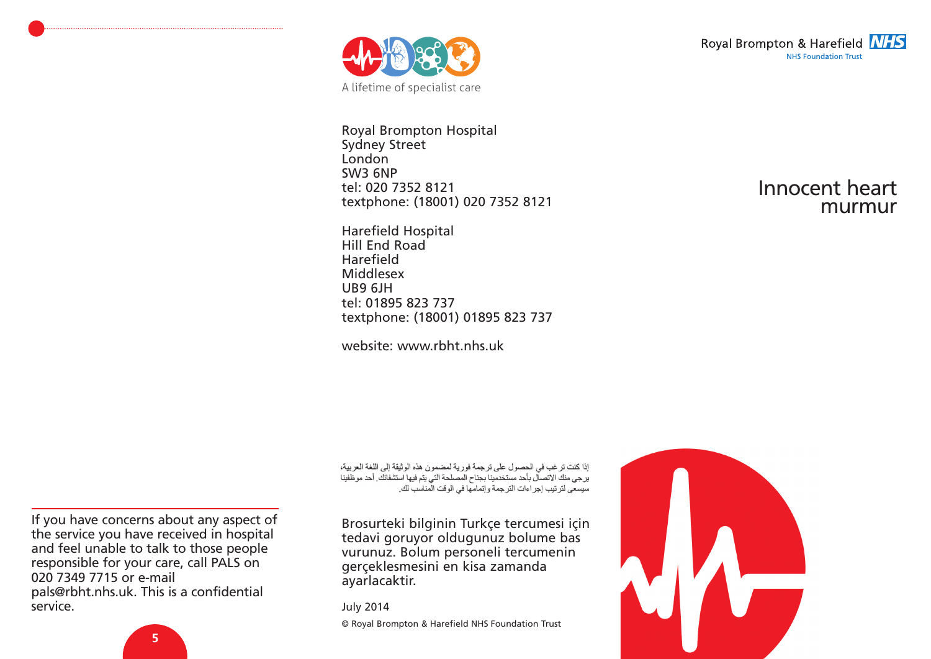

Royal Brompton Hospital Sydney Street London SW3 6NP tel: 020 7352 8121 textphone: (18001) 020 7352 8121

Harefield Hospital Hill End Road Harefield Middlesex UB9 6JH tel: 01895 823 737 textphone: (18001) 01895 823 737

website: www.rbht.nhs.uk

Royal Brompton & Harefield **NHS NHS Foundation Trust** 

### Innocent heart murmur

إذا كنت ترغب في الحصول على ترجمة فورية لمضمون هذه الوثيقة إلى اللغة العربية، بر جي منك الاتصال بأحد مستخدمينا بجناح المصلحة التي بتم فيها استشفائك أحد موظفينا سيسعى لترتيب إجراءات الترجمة وإتمامها في الوقت المناسب لك.

Brosurteki bilginin Turkçe tercumesi için tedavi goruyor oldugunuz bolume bas vurunuz. Bolum personeli tercumenin gerçeklesmesini en kisa zamanda ayarlacaktir.

July 2014

© Royal Brompton & Harefield NHS Foundation Trust

If you have concerns about any aspect of the service you have received in hospital and feel unable to talk to those people responsible for your care, call PALS on 020 7349 7715 or e-mail pals@rbht.nhs.uk. This is a confidential service.